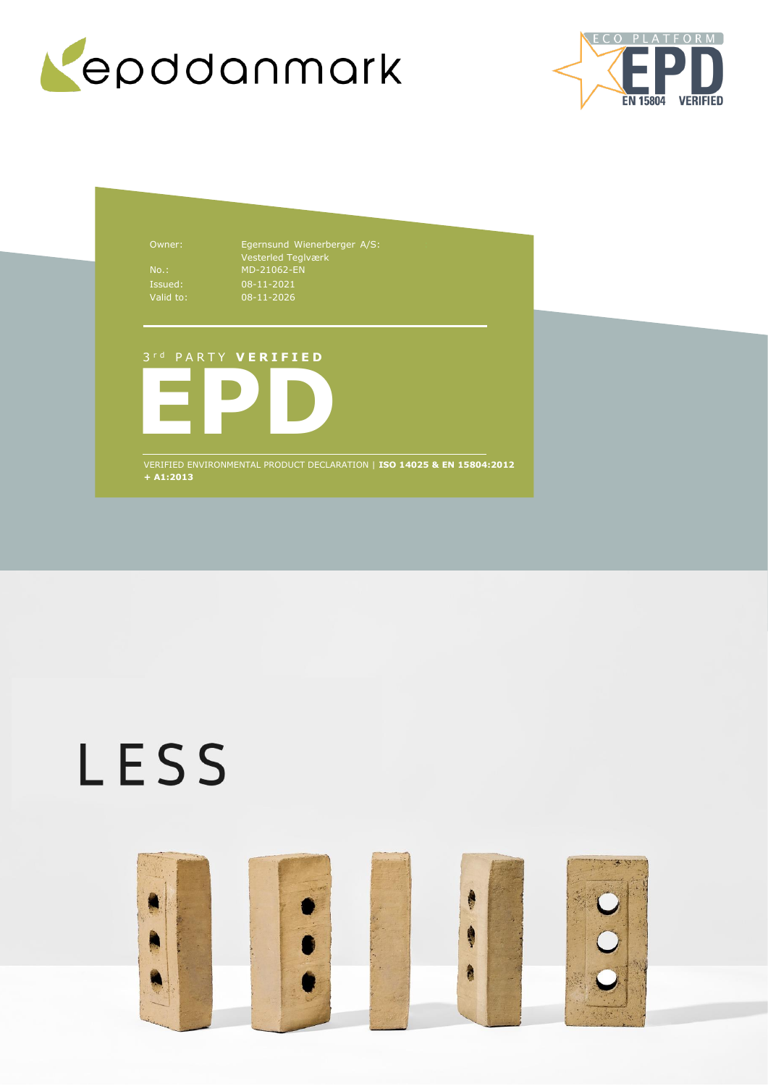



Owner: Egernsund Wienerberger A/S: Vesterled Teglværk No.: MD-21062-EN 08-11-2021 08-11-2026

## 3 r d P A R T Y **V E R I F I E D**



VERIFIED ENVIRONMENTAL PRODUCT DECLARATION | **ISO 14025 & EN 15804:2012 + A1:2013**

# LESS

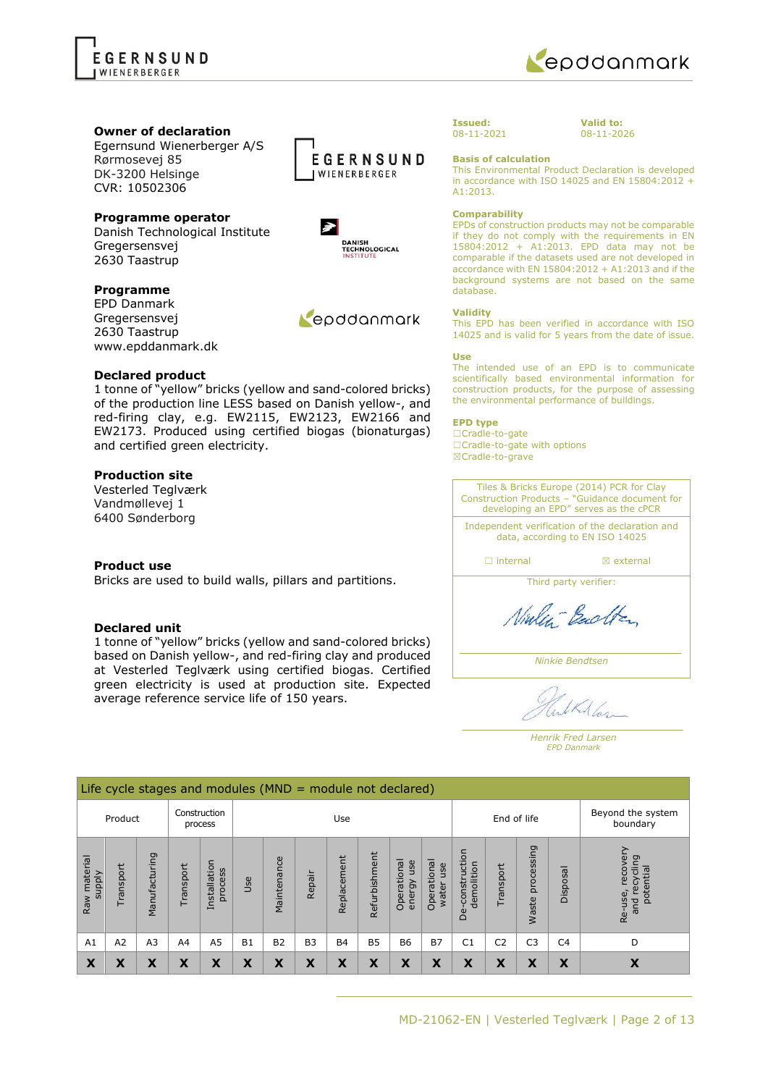



**Valid to:** 08-11-2026

#### **Owner of declaration**

Egernsund Wienerberger A/S Rørmosevej 85 DK-3200 Helsinge CVR: 10502306

## **Programme operator**

Danish Technological Institute Gregersensvej 2630 Taastrup

#### **Programme**

EPD Danmark Gregersensvej 2630 Taastrup www.epddanmark.dk

#### **Declared product**

1 tonne of "yellow" bricks (yellow and sand-colored bricks) of the production line LESS based on Danish yellow-, and red-firing clay, e.g. EW2115, EW2123, EW2166 and EW2173. Produced using certified biogas (bionaturgas) and certified green electricity.

#### **Production site**

Vesterled Teglværk Vandmøllevej 1 6400 Sønderborg

#### **Product use**

Bricks are used to build walls, pillars and partitions.

#### **Declared unit**

1 tonne of "yellow" bricks (yellow and sand-colored bricks) based on Danish yellow-, and red-firing clay and produced at Vesterled Teglværk using certified biogas. Certified green electricity is used at production site. Expected average reference service life of 150 years.





Repodanmark

#### **Issued:** 08-11-2021

**Basis of calculation**

This Environmental Product Declaration is developed in accordance with ISO 14025 and EN 15804:2012 + A1:2013.

#### **Comparability**

EPDs of construction products may not be comparable if they do not comply with the requirements in EN 15804:2012 + A1:2013. EPD data may not be comparable if the datasets used are not developed in accordance with EN 15804:2012 + A1:2013 and if the background systems are not based on the same database.

#### **Validity**

This EPD has been verified in accordance with ISO 14025 and is valid for 5 years from the date of issue.

#### **Use**

The intended use of an EPD is to communicate scientifically based environmental information for construction products, for the purpose of assessing the environmental performance of buildings.

#### **EPD type**

☐Cradle-to-gate ☐Cradle-to-gate with options ☒Cradle-to-grave

Tiles & Bricks Europe (2014) PCR for Clay Construction Products – "Guidance document for developing an EPD" serves as the cPCR

Independent verification of the declaration and data, according to EN ISO 14025

□ internal **I I** axternal

Third party verifier:

Ninley-Backton

*Ninkie Bendtsen*

LKA Las

*Henrik Fred Larsen EPD Danmark*

|                                    | Life cycle stages and modules ( $MND =$ module not declared) |                |          |                         |           |                |                |             |               |                              |                             |                                 |                |                     |                               |                                                    |
|------------------------------------|--------------------------------------------------------------|----------------|----------|-------------------------|-----------|----------------|----------------|-------------|---------------|------------------------------|-----------------------------|---------------------------------|----------------|---------------------|-------------------------------|----------------------------------------------------|
| Construction<br>Product<br>process |                                                              |                |          |                         |           |                | Use            |             |               |                              |                             | End of life                     |                |                     | Beyond the system<br>boundary |                                                    |
| Raw material<br><b>Viddns</b>      | Transport                                                    | Manufacturing  | ransport | Installation<br>process | Use       | Maintenance    | Repair         | Replacement | Refurbishment | Operational<br>use<br>energy | Operational<br>use<br>water | construction<br>demolition<br>ق | Transport      | processing<br>Waste | Disposal                      | recove<br>recycling<br>potential<br>Re-use,<br>and |
| A1                                 | A2                                                           | A <sub>3</sub> | A4       | A <sub>5</sub>          | <b>B1</b> | B <sub>2</sub> | B <sub>3</sub> | <b>B4</b>   | <b>B5</b>     | <b>B6</b>                    | <b>B7</b>                   | C <sub>1</sub>                  | C <sub>2</sub> | C <sub>3</sub>      | C <sub>4</sub>                | D                                                  |
| X                                  | Χ                                                            | χ              | Χ        | X                       | X         | X              | X              | X           | X             | X                            | X                           | X                               | X              | X                   | X                             | X                                                  |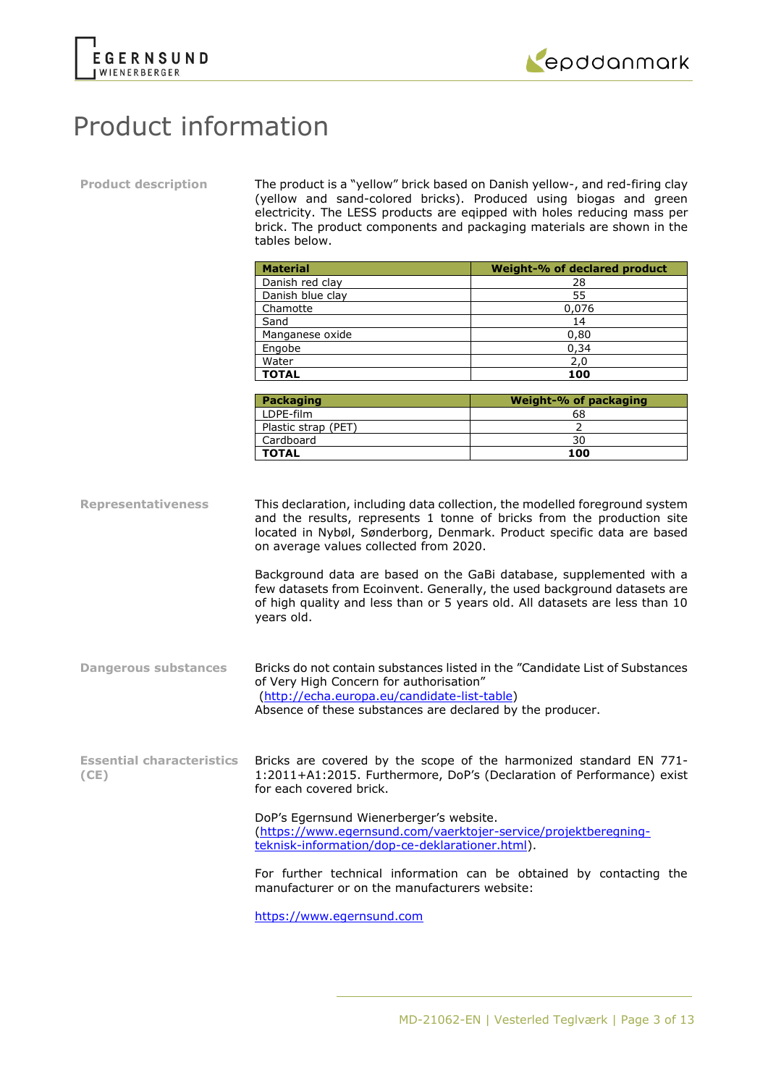



## Product information

**Product description** The product is a "yellow" brick based on Danish yellow-, and red-firing clay (yellow and sand-colored bricks). Produced using biogas and green electricity. The LESS products are eqipped with holes reducing mass per brick. The product components and packaging materials are shown in the tables below.

|                                          | <b>Material</b>                                                                                                                                      | Weight-% of declared product                                                                                                                                                                                                                                                                                                                                                                                                                                      |
|------------------------------------------|------------------------------------------------------------------------------------------------------------------------------------------------------|-------------------------------------------------------------------------------------------------------------------------------------------------------------------------------------------------------------------------------------------------------------------------------------------------------------------------------------------------------------------------------------------------------------------------------------------------------------------|
|                                          | Danish red clay                                                                                                                                      | 28                                                                                                                                                                                                                                                                                                                                                                                                                                                                |
|                                          | Danish blue clay                                                                                                                                     | 55                                                                                                                                                                                                                                                                                                                                                                                                                                                                |
|                                          | Chamotte                                                                                                                                             | 0,076                                                                                                                                                                                                                                                                                                                                                                                                                                                             |
|                                          | Sand                                                                                                                                                 | 14                                                                                                                                                                                                                                                                                                                                                                                                                                                                |
|                                          | Manganese oxide                                                                                                                                      | 0,80                                                                                                                                                                                                                                                                                                                                                                                                                                                              |
|                                          | Engobe                                                                                                                                               | 0,34                                                                                                                                                                                                                                                                                                                                                                                                                                                              |
|                                          | Water                                                                                                                                                | 2,0                                                                                                                                                                                                                                                                                                                                                                                                                                                               |
|                                          | <b>TOTAL</b>                                                                                                                                         | 100                                                                                                                                                                                                                                                                                                                                                                                                                                                               |
|                                          |                                                                                                                                                      |                                                                                                                                                                                                                                                                                                                                                                                                                                                                   |
|                                          | <b>Packaging</b>                                                                                                                                     | Weight-% of packaging                                                                                                                                                                                                                                                                                                                                                                                                                                             |
|                                          | LDPE-film                                                                                                                                            | 68                                                                                                                                                                                                                                                                                                                                                                                                                                                                |
|                                          | Plastic strap (PET)                                                                                                                                  | $\overline{2}$                                                                                                                                                                                                                                                                                                                                                                                                                                                    |
|                                          | Cardboard                                                                                                                                            | 30                                                                                                                                                                                                                                                                                                                                                                                                                                                                |
|                                          | <b>TOTAL</b>                                                                                                                                         | 100                                                                                                                                                                                                                                                                                                                                                                                                                                                               |
| <b>Representativeness</b>                | on average values collected from 2020.<br>years old.                                                                                                 | This declaration, including data collection, the modelled foreground system<br>and the results, represents 1 tonne of bricks from the production site<br>located in Nybøl, Sønderborg, Denmark. Product specific data are based<br>Background data are based on the GaBi database, supplemented with a<br>few datasets from Ecoinvent. Generally, the used background datasets are<br>of high quality and less than or 5 years old. All datasets are less than 10 |
| <b>Dangerous substances</b>              | of Very High Concern for authorisation"<br>(http://echa.europa.eu/candidate-list-table)<br>Absence of these substances are declared by the producer. | Bricks do not contain substances listed in the "Candidate List of Substances                                                                                                                                                                                                                                                                                                                                                                                      |
| <b>Essential characteristics</b><br>(CE) | for each covered brick.                                                                                                                              | Bricks are covered by the scope of the harmonized standard EN 771-<br>1:2011+A1:2015. Furthermore, DoP's (Declaration of Performance) exist                                                                                                                                                                                                                                                                                                                       |

DoP's Egernsund Wienerberger's website. [\(https://www.egernsund.com/vaerktojer-service/projektberegning](https://www.egernsund.com/vaerktojer-service/projektberegning-teknisk-information/dop-ce-deklarationer.html)[teknisk-information/dop-ce-deklarationer.html\)](https://www.egernsund.com/vaerktojer-service/projektberegning-teknisk-information/dop-ce-deklarationer.html).

For further technical information can be obtained by contacting the manufacturer or on the manufacturers website:

[https://www.egernsund.com](https://www.egernsund.com/)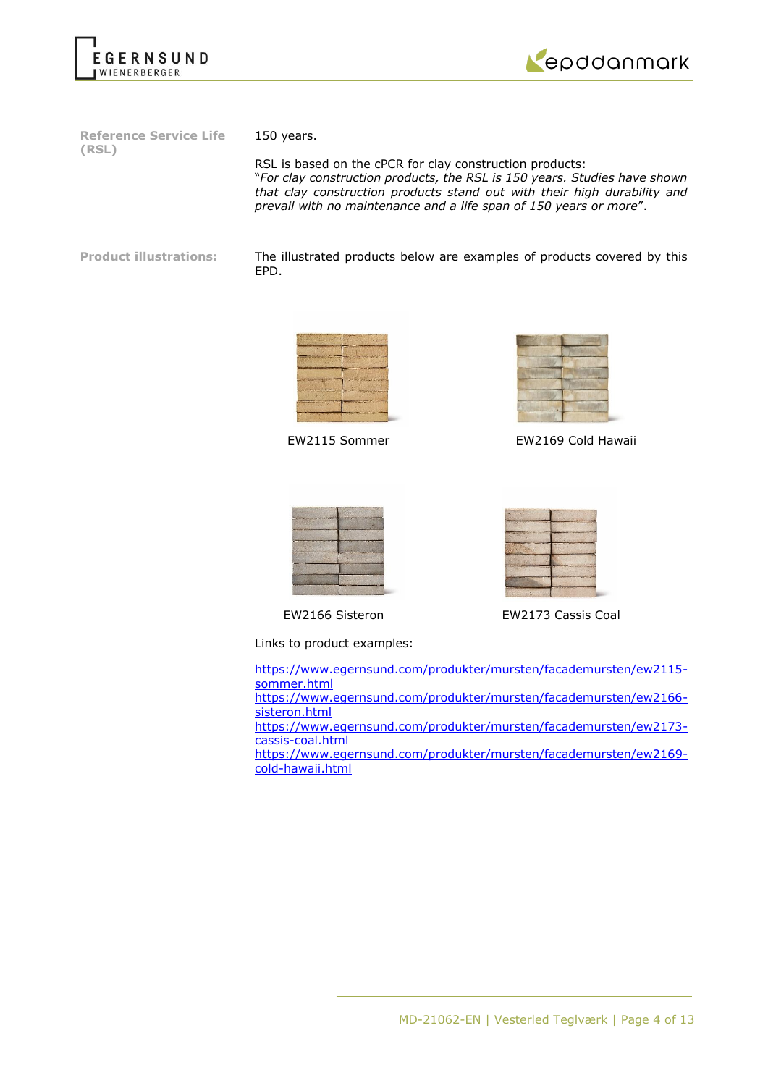



**Reference Service Life (RSL)**

150 years.

RSL is based on the cPCR for clay construction products: "*For clay construction products, the RSL is 150 years. Studies have shown that clay construction products stand out with their high durability and prevail with no maintenance and a life span of 150 years or more*".

**Product illustrations:** The illustrated products below are examples of products covered by this EPD.





EW2115 Sommer EW2169 Cold Hawaii



Links to product examples:



EW2166 Sisteron EW2173 Cassis Coal

[https://www.egernsund.com/produkter/mursten/facademursten/ew2115](https://www.egernsund.com/produkter/mursten/facademursten/ew2115-sommer.html) [sommer.html](https://www.egernsund.com/produkter/mursten/facademursten/ew2115-sommer.html) [https://www.egernsund.com/produkter/mursten/facademursten/ew2166](https://www.egernsund.com/produkter/mursten/facademursten/ew2166-sisteron.html) [sisteron.html](https://www.egernsund.com/produkter/mursten/facademursten/ew2166-sisteron.html) [https://www.egernsund.com/produkter/mursten/facademursten/ew2173](https://www.egernsund.com/produkter/mursten/facademursten/ew2173-cassis-coal.html) [cassis-coal.html](https://www.egernsund.com/produkter/mursten/facademursten/ew2173-cassis-coal.html) [https://www.egernsund.com/produkter/mursten/facademursten/ew2169](https://www.egernsund.com/produkter/mursten/facademursten/ew2169-cold-hawaii.html) [cold-hawaii.html](https://www.egernsund.com/produkter/mursten/facademursten/ew2169-cold-hawaii.html)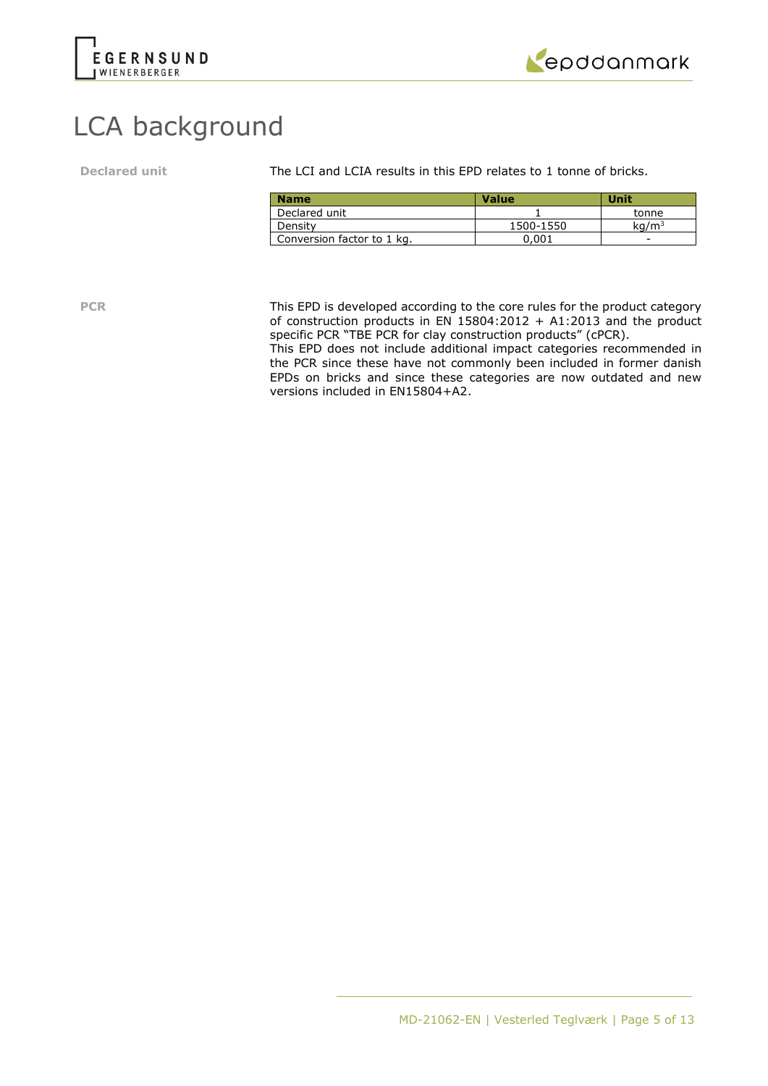



# LCA background

**Declared unit** The LCI and LCIA results in this EPD relates to 1 tonne of bricks.

| <b>Name</b>                | Value     | Unit              |
|----------------------------|-----------|-------------------|
| Declared unit              |           | tonne             |
| Density                    | 1500-1550 | kq/m <sup>3</sup> |
| Conversion factor to 1 kg. | ን.001     | -                 |

**PCR** This EPD is developed according to the core rules for the product category of construction products in  $EN$  15804:2012 + A1:2013 and the product specific PCR "TBE PCR for clay construction products" (cPCR).

This EPD does not include additional impact categories recommended in the PCR since these have not commonly been included in former danish EPDs on bricks and since these categories are now outdated and new versions included in EN15804+A2.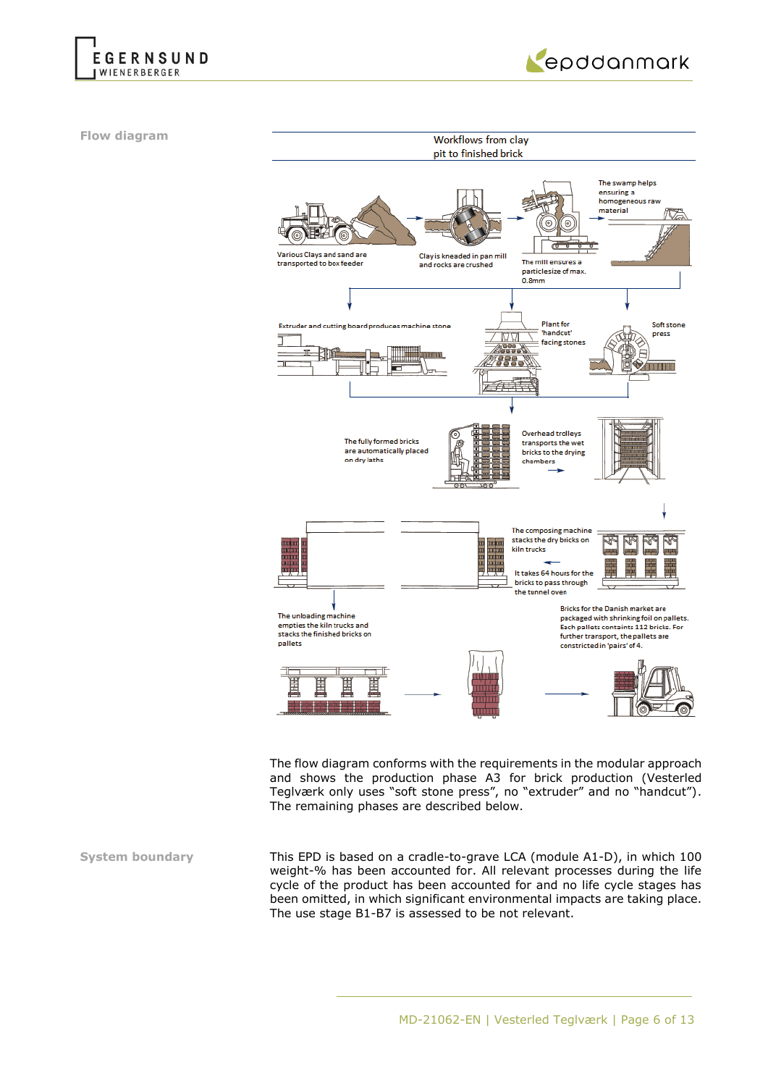



**Flow diagram**



The flow diagram conforms with the requirements in the modular approach and shows the production phase A3 for brick production (Vesterled Teglværk only uses "soft stone press", no "extruder" and no "handcut"). The remaining phases are described below.

**System boundary** This EPD is based on a cradle-to-grave LCA (module A1-D), in which 100 weight-% has been accounted for. All relevant processes during the life cycle of the product has been accounted for and no life cycle stages has been omitted, in which significant environmental impacts are taking place. The use stage B1-B7 is assessed to be not relevant.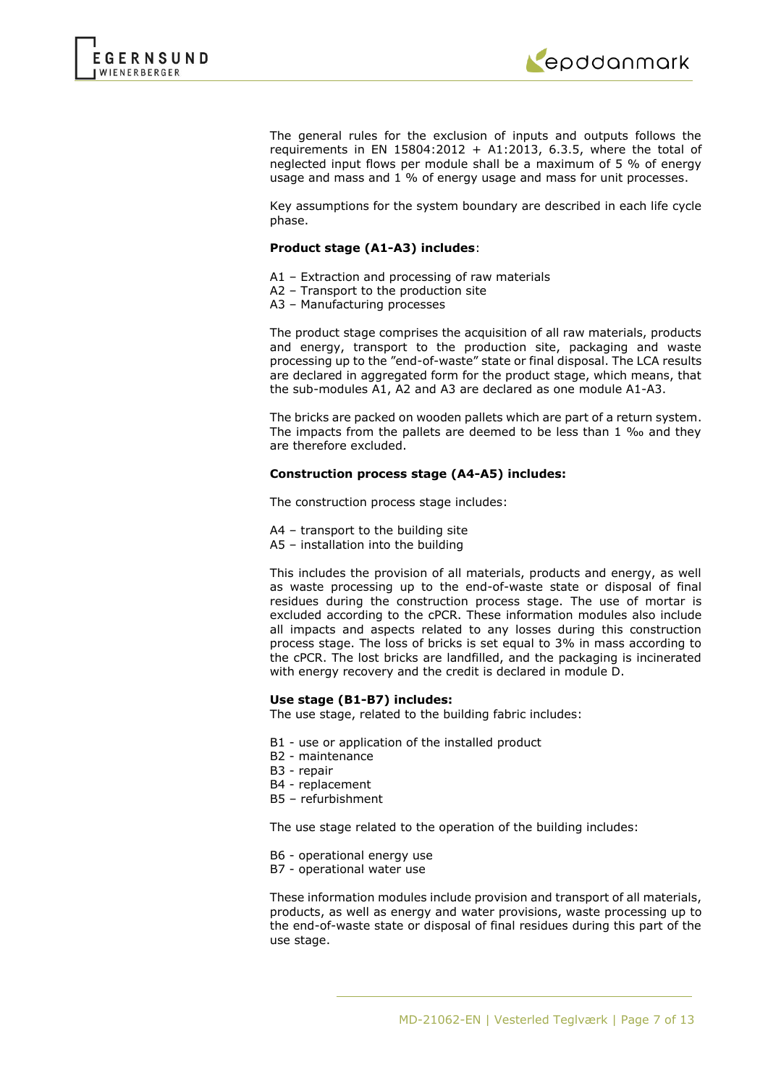



The general rules for the exclusion of inputs and outputs follows the requirements in EN 15804:2012 + A1:2013, 6.3.5, where the total of neglected input flows per module shall be a maximum of 5 % of energy usage and mass and 1 % of energy usage and mass for unit processes.

Key assumptions for the system boundary are described in each life cycle phase.

#### **Product stage (A1-A3) includes**:

- A1 Extraction and processing of raw materials
- A2 Transport to the production site
- A3 Manufacturing processes

The product stage comprises the acquisition of all raw materials, products and energy, transport to the production site, packaging and waste processing up to the "end-of-waste" state or final disposal. The LCA results are declared in aggregated form for the product stage, which means, that the sub-modules A1, A2 and A3 are declared as one module A1-A3.

The bricks are packed on wooden pallets which are part of a return system. The impacts from the pallets are deemed to be less than 1 ‰ and they are therefore excluded.

#### **Construction process stage (A4-A5) includes:**

The construction process stage includes:

- A4 transport to the building site
- A5 installation into the building

This includes the provision of all materials, products and energy, as well as waste processing up to the end-of-waste state or disposal of final residues during the construction process stage. The use of mortar is excluded according to the cPCR. These information modules also include all impacts and aspects related to any losses during this construction process stage. The loss of bricks is set equal to 3% in mass according to the cPCR. The lost bricks are landfilled, and the packaging is incinerated with energy recovery and the credit is declared in module D.

#### **Use stage (B1-B7) includes:**

The use stage, related to the building fabric includes:

- B1 use or application of the installed product
- B2 maintenance
- B3 repair
- B4 replacement
- B5 refurbishment

The use stage related to the operation of the building includes:

- B6 operational energy use
- B7 operational water use

These information modules include provision and transport of all materials, products, as well as energy and water provisions, waste processing up to the end-of-waste state or disposal of final residues during this part of the use stage.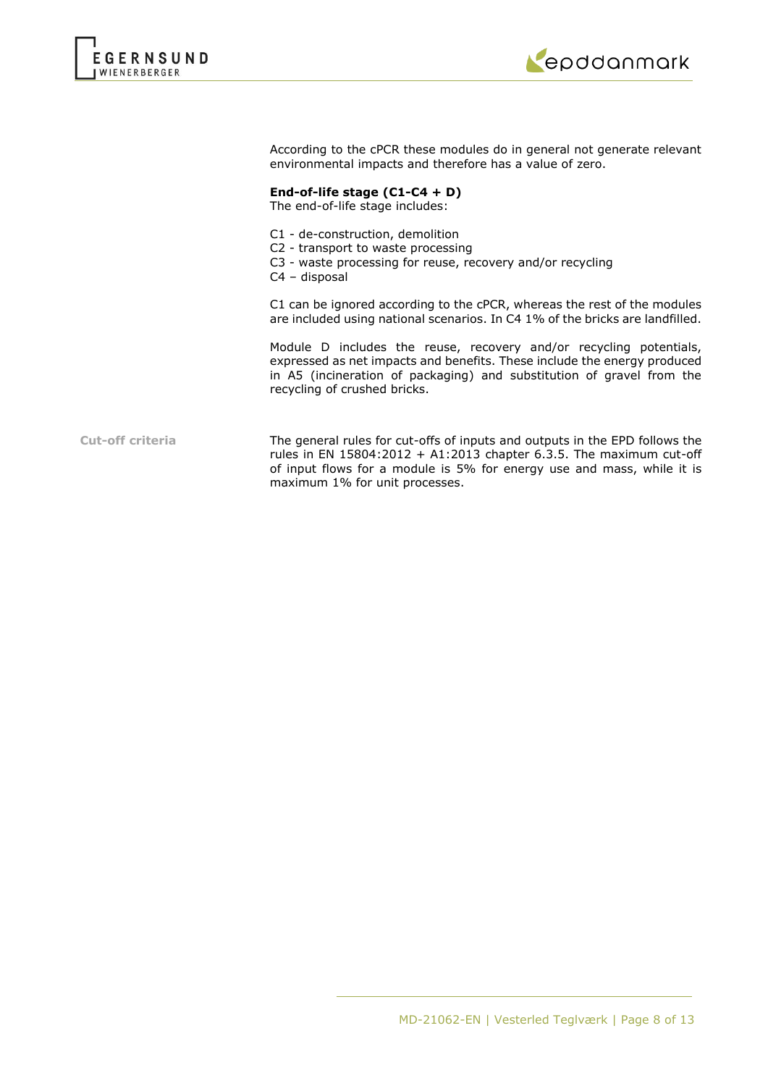



According to the cPCR these modules do in general not generate relevant environmental impacts and therefore has a value of zero.

#### **End-of-life stage (C1-C4 + D)**

The end-of-life stage includes:

- C1 de-construction, demolition
- C2 transport to waste processing
- C3 waste processing for reuse, recovery and/or recycling
- C4 disposal

C1 can be ignored according to the cPCR, whereas the rest of the modules are included using national scenarios. In C4 1% of the bricks are landfilled.

Module D includes the reuse, recovery and/or recycling potentials, expressed as net impacts and benefits. These include the energy produced in A5 (incineration of packaging) and substitution of gravel from the recycling of crushed bricks.

**Cut-off criteria** The general rules for cut-offs of inputs and outputs in the EPD follows the rules in EN 15804:2012 + A1:2013 chapter 6.3.5. The maximum cut-off of input flows for a module is 5% for energy use and mass, while it is maximum 1% for unit processes.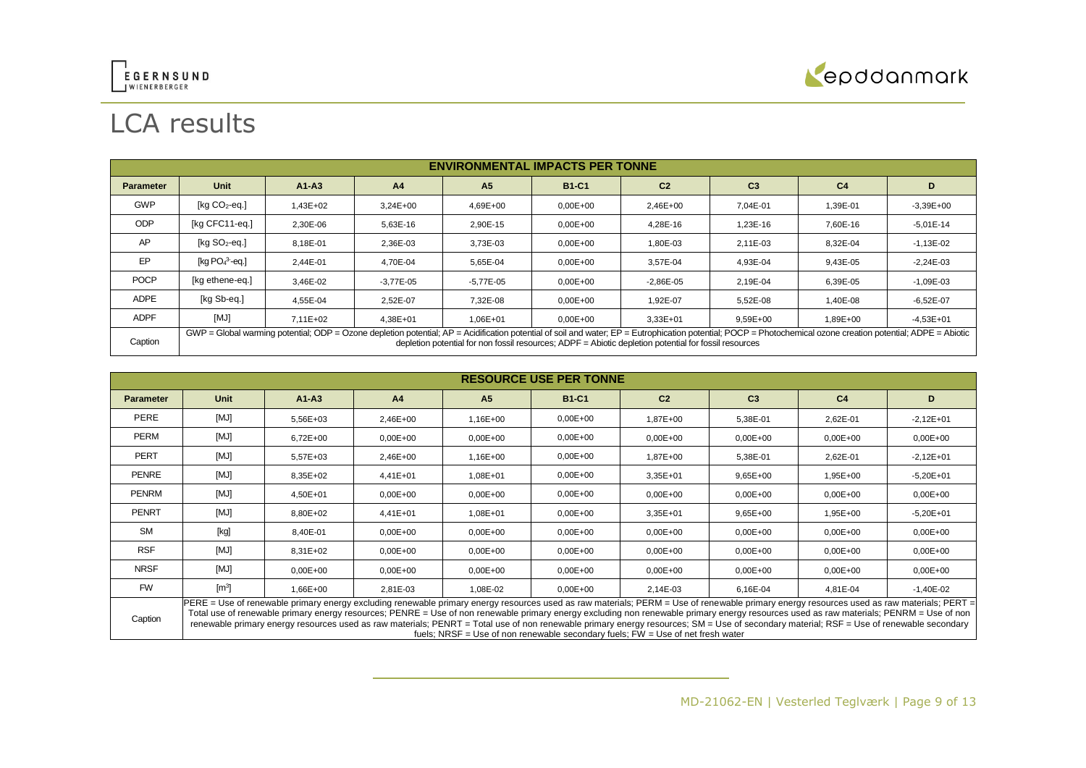



# LCA results

|                  | <b>ENVIRONMENTAL IMPACTS PER TONNE</b>                                                                                                                                                                                                                                                                                     |              |                |                |              |                |                |                |               |
|------------------|----------------------------------------------------------------------------------------------------------------------------------------------------------------------------------------------------------------------------------------------------------------------------------------------------------------------------|--------------|----------------|----------------|--------------|----------------|----------------|----------------|---------------|
| <b>Parameter</b> | <b>Unit</b>                                                                                                                                                                                                                                                                                                                | $A1 - A3$    | A <sub>4</sub> | A <sub>5</sub> | <b>B1-C1</b> | C <sub>2</sub> | C <sub>3</sub> | C <sub>4</sub> | D             |
| <b>GWP</b>       | [ $kg CO2$ -eq.]                                                                                                                                                                                                                                                                                                           | $1.43E + 02$ | $3.24E + 00$   | 4.69E+00       | $0,00E+00$   | 2,46E+00       | 7.04E-01       | 1,39E-01       | $-3,39E+00$   |
| <b>ODP</b>       | [kg CFC11-eg.]                                                                                                                                                                                                                                                                                                             | 2.30E-06     | 5.63E-16       | 2.90E-15       | $0,00E+00$   | 4.28E-16       | 1.23E-16       | 7,60E-16       | $-5,01E-14$   |
| AP               | [ $kg SO2$ -eq.]                                                                                                                                                                                                                                                                                                           | 8,18E-01     | 2,36E-03       | 3.73E-03       | $0,00E+00$   | 1,80E-03       | 2,11E-03       | 8,32E-04       | $-1,13E-02$   |
| EP               | [kg $PO43$ -eg.]                                                                                                                                                                                                                                                                                                           | 2.44E-01     | 4.70E-04       | 5.65E-04       | $0.00E + 00$ | 3.57E-04       | 4.93E-04       | 9.43E-05       | $-2,24E-03$   |
| <b>POCP</b>      | [kg ethene-eg.]                                                                                                                                                                                                                                                                                                            | 3.46E-02     | $-3.77E - 05$  | $-5.77E - 05$  | $0.00E + 00$ | $-2,86E-05$    | 2.19E-04       | 6.39E-05       | $-1,09E-03$   |
| <b>ADPE</b>      | [kg Sb-eq.]                                                                                                                                                                                                                                                                                                                | 4,55E-04     | 2,52E-07       | 7,32E-08       | $0,00E+00$   | 1,92E-07       | 5,52E-08       | 1,40E-08       | $-6,52E-07$   |
| <b>ADPF</b>      | [MJ]                                                                                                                                                                                                                                                                                                                       | $7.11E + 02$ | $4.38E + 01$   | 1,06E+01       | $0.00E + 00$ | $3.33E + 01$   | 9,59E+00       | 1,89E+00       | $-4.53E + 01$ |
| Caption          | $GWP = Global$ warming potential; ODP = Ozone depletion potential; AP = Acidification potential of soil and water; EP = Eutrophication potential; POCP = Photochemical ozone creation potential; ADPE = Abiotic<br>depletion potential for non fossil resources: $ADPF = Abiotic$ depletion potential for fossil resources |              |                |                |              |                |                |                |               |

|                  | <b>RESOURCE USE PER TONNE</b>                                                                                                                                                                                                                                                                                                                                                                                                                                                                                                                                                                                                                                        |              |                |                |              |                |                |                |              |
|------------------|----------------------------------------------------------------------------------------------------------------------------------------------------------------------------------------------------------------------------------------------------------------------------------------------------------------------------------------------------------------------------------------------------------------------------------------------------------------------------------------------------------------------------------------------------------------------------------------------------------------------------------------------------------------------|--------------|----------------|----------------|--------------|----------------|----------------|----------------|--------------|
| <b>Parameter</b> | Unit                                                                                                                                                                                                                                                                                                                                                                                                                                                                                                                                                                                                                                                                 | $A1-A3$      | A <sub>4</sub> | A <sub>5</sub> | <b>B1-C1</b> | C <sub>2</sub> | C <sub>3</sub> | C <sub>4</sub> | D            |
| PERE             | [MJ]                                                                                                                                                                                                                                                                                                                                                                                                                                                                                                                                                                                                                                                                 | 5,56E+03     | 2,46E+00       | 1,16E+00       | $0.00E + 00$ | 1,87E+00       | 5,38E-01       | 2,62E-01       | $-2,12E+01$  |
| <b>PERM</b>      | [MJ]                                                                                                                                                                                                                                                                                                                                                                                                                                                                                                                                                                                                                                                                 | $6,72E+00$   | $0.00E + 00$   | $0.00E + 00$   | $0.00E + 00$ | $0,00E+00$     | $0,00E + 00$   | $0,00E + 00$   | $0,00E+00$   |
| PERT             | [MJ]                                                                                                                                                                                                                                                                                                                                                                                                                                                                                                                                                                                                                                                                 | 5,57E+03     | 2,46E+00       | $1.16E + 00$   | $0.00E + 00$ | 1.87E+00       | 5,38E-01       | 2,62E-01       | $-2,12E+01$  |
| PENRE            | [MJ]                                                                                                                                                                                                                                                                                                                                                                                                                                                                                                                                                                                                                                                                 | 8,35E+02     | 4,41E+01       | 1,08E+01       | $0.00E + 00$ | 3,35E+01       | $9,65E+00$     | 1,95E+00       | $-5,20E+01$  |
| PENRM            | [MJ]                                                                                                                                                                                                                                                                                                                                                                                                                                                                                                                                                                                                                                                                 | 4,50E+01     | $0.00E + 00$   | $0.00E + 00$   | $0.00E + 00$ | $0,00E+00$     | $0,00E + 00$   | $0,00E + 00$   | $0,00E + 00$ |
| PENRT            | [MJ]                                                                                                                                                                                                                                                                                                                                                                                                                                                                                                                                                                                                                                                                 | 8,80E+02     | 4,41E+01       | 1,08E+01       | $0.00E + 00$ | 3,35E+01       | $9,65E+00$     | 1,95E+00       | $-5,20E+01$  |
| <b>SM</b>        | [kg]                                                                                                                                                                                                                                                                                                                                                                                                                                                                                                                                                                                                                                                                 | 8,40E-01     | $0.00E + 00$   | $0.00E + 00$   | $0.00E + 00$ | $0,00E+00$     | $0,00E+00$     | $0,00E+00$     | $0,00E + 00$ |
| <b>RSF</b>       | [MJ]                                                                                                                                                                                                                                                                                                                                                                                                                                                                                                                                                                                                                                                                 | $8.31E + 02$ | $0.00E + 00$   | $0.00E + 00$   | $0,00E+00$   | $0,00E+00$     | $0,00E + 00$   | $0,00E + 00$   | $0,00E+00$   |
| <b>NRSF</b>      | [MJ]                                                                                                                                                                                                                                                                                                                                                                                                                                                                                                                                                                                                                                                                 | $0,00E+00$   | $0.00E + 00$   | $0.00E + 00$   | $0,00E+00$   | $0,00E+00$     | $0,00E + 00$   | $0,00E + 00$   | $0,00E + 00$ |
| <b>FW</b>        | $\text{[m}^3$                                                                                                                                                                                                                                                                                                                                                                                                                                                                                                                                                                                                                                                        | 1,66E+00     | 2,81E-03       | 1,08E-02       | $0,00E+00$   | 2,14E-03       | 6,16E-04       | 4,81E-04       | $-1,40E-02$  |
| Caption          | PERE = Use of renewable primary energy excluding renewable primary energy resources used as raw materials; PERM = Use of renewable primary energy resources used as raw materials; PERT =<br>Total use of renewable primary energy resources; PENRE = Use of non renewable primary energy excluding non renewable primary energy resources used as raw materials; PENRM = Use of non<br>renewable primary energy resources used as raw materials; PENRT = Total use of non renewable primary energy resources; SM = Use of secondary material; RSF = Use of renewable secondary<br>fuels; NRSF = Use of non renewable secondary fuels; $FW = Use$ of net fresh water |              |                |                |              |                |                |                |              |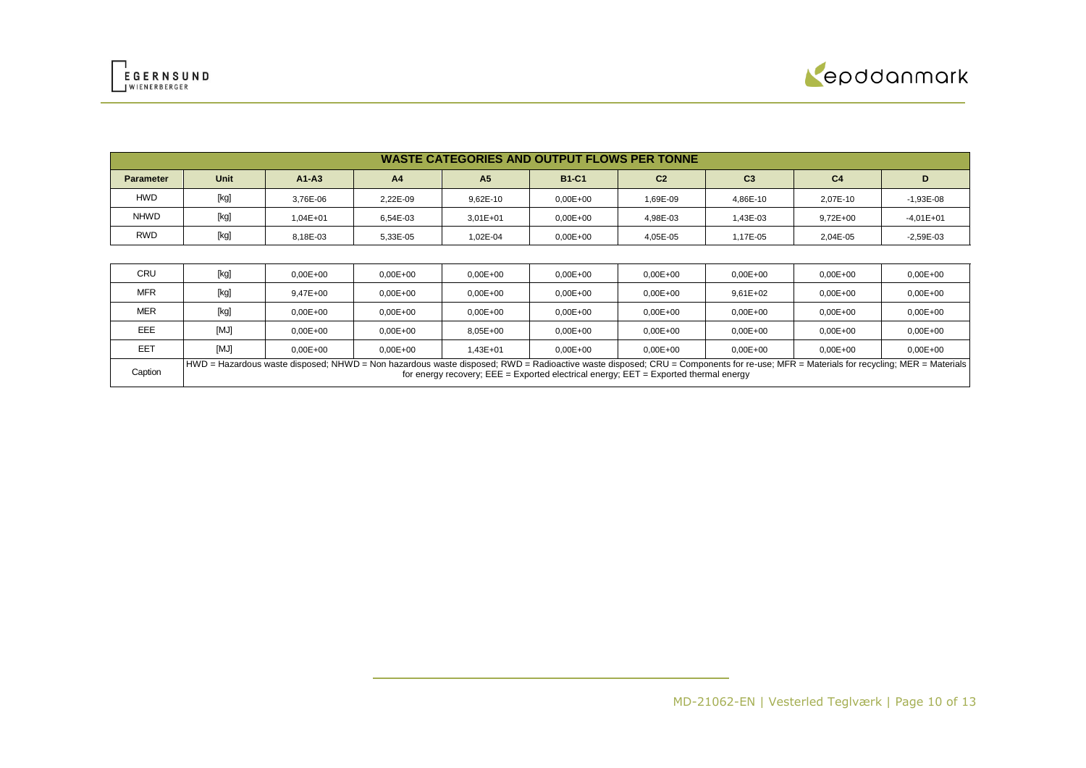



|                  | <b>WASTE CATEGORIES AND OUTPUT FLOWS PER TONNE</b> |              |                |                |              |                |                |                |             |  |
|------------------|----------------------------------------------------|--------------|----------------|----------------|--------------|----------------|----------------|----------------|-------------|--|
| <b>Parameter</b> | Unit                                               | $A1-A3$      | A <sub>4</sub> | A <sub>5</sub> | <b>B1-C1</b> | C <sub>2</sub> | C <sub>3</sub> | C <sub>4</sub> |             |  |
| <b>HWD</b>       | [kg]                                               | 3.76E-06     | 2.22E-09       | $9.62E - 10$   | $0,00E+00$   | 1.69E-09       | 4.86E-10       | 2.07E-10       | $-1,93E-08$ |  |
| <b>NHWD</b>      | [kg]                                               | $1.04E + 01$ | 6.54E-03       | $3,01E+01$     | $0,00E+00$   | 4.98E-03       | 1,43E-03       | $9,72E+00$     | $-4,01E+01$ |  |
| <b>RWD</b>       | [kg]                                               | 8.18E-03     | 5,33E-05       | 1.02E-04       | $0.00E + 00$ | 4.05E-05       | 1,17E-05       | 2.04E-05       | $-2,59E-03$ |  |

| CRU        | [kg] | $0.00E + 00$ | $0.00E + 00$ | $0.00E + 00$ | $0.00E + 00$ | $0.00E + 00$                                                                                                                                                                                                                                                                    | $0.00E + 00$ | $0.00E + 00$ | $0.00E + 00$ |
|------------|------|--------------|--------------|--------------|--------------|---------------------------------------------------------------------------------------------------------------------------------------------------------------------------------------------------------------------------------------------------------------------------------|--------------|--------------|--------------|
| <b>MFR</b> | [kg] | 9.47E+00     | $0.00E + 00$ | $0.00E + 00$ | $0.00E + 00$ | $0,00E + 00$                                                                                                                                                                                                                                                                    | $9,61E+02$   | $0.00E + 00$ | $0.00E + 00$ |
| <b>MER</b> | [kg] | $0.00E + 00$ | $0.00E + 00$ | $0.00E + 00$ | $0.00E + 00$ | $0,00E + 00$                                                                                                                                                                                                                                                                    | $0,00E+00$   | $0.00E + 00$ | $0.00E + 00$ |
| EEE        | [MJ] | $0.00E + 00$ | $0.00E + 00$ | $8.05E + 00$ | $0.00E + 00$ | $0.00E + 00$                                                                                                                                                                                                                                                                    | $0.00E + 00$ | $0.00E + 00$ | $0.00E + 00$ |
| EET        | [MJ] | $0.00E + 00$ | $0.00E + 00$ | 1.43E+01     | $0.00E + 00$ | $0.00E + 00$                                                                                                                                                                                                                                                                    | $0.00E + 00$ | $0.00E + 00$ | $0.00E + 00$ |
| Caption    |      |              |              |              |              | HWD = Hazardous waste disposed; NHWD = Non hazardous waste disposed; RWD = Radioactive waste disposed; CRU = Components for re-use; MFR = Materials for recycling; MER = Materials<br>for energy recovery; $EEE = Exported electrical energy$ ; $EET = Exported thermal energy$ |              |              |              |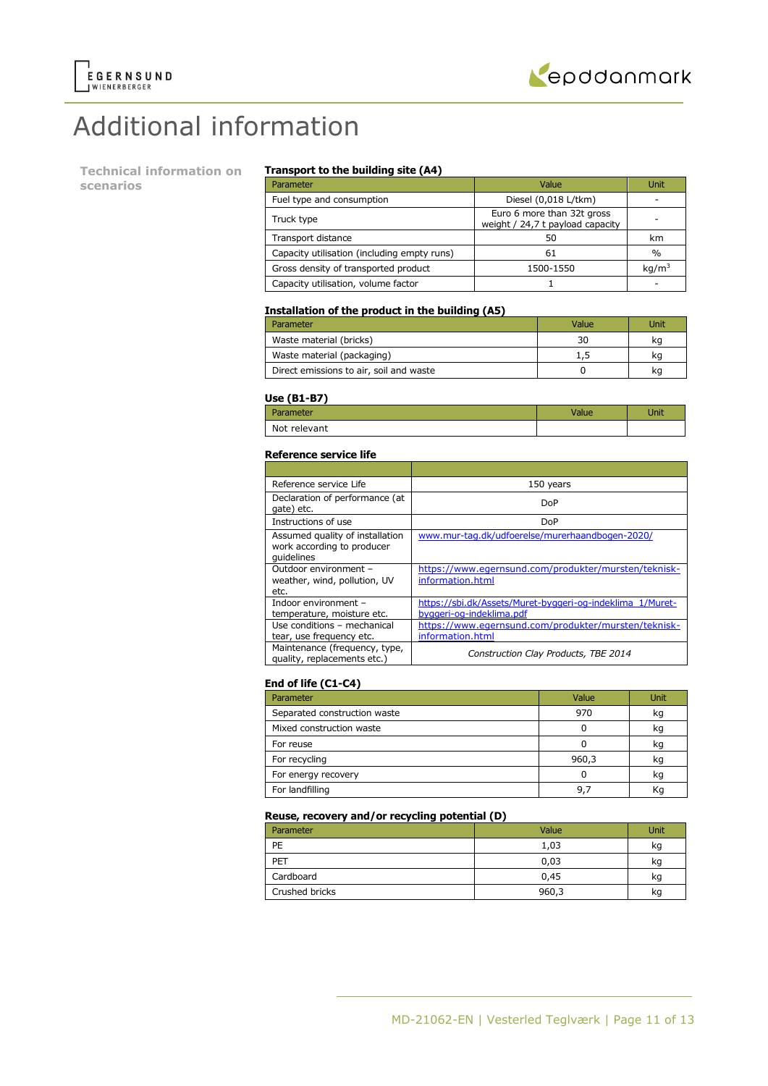

# Additional information

**Technical information on scenarios**

#### **Transport to the building site (A4)**

| Parameter                                   | Value                                                          | Unit              |
|---------------------------------------------|----------------------------------------------------------------|-------------------|
| Fuel type and consumption                   | Diesel (0,018 L/tkm)                                           |                   |
| Truck type                                  | Euro 6 more than 32t gross<br>weight / 24,7 t payload capacity |                   |
| Transport distance                          | 50                                                             | km                |
| Capacity utilisation (including empty runs) | 61                                                             | $\%$              |
| Gross density of transported product        | 1500-1550                                                      | kg/m <sup>3</sup> |
| Capacity utilisation, volume factor         |                                                                |                   |

#### **Installation of the product in the building (A5)**

| Parameter                               | Value | Jnit |
|-----------------------------------------|-------|------|
| Waste material (bricks)                 | 30    | ka   |
| Waste material (packaging)              | 1,5   | ĸq   |
| Direct emissions to air, soil and waste |       | ĸq   |

#### **Use (B1-B7)**

| -----        |      |
|--------------|------|
| Parameter    | Jnit |
| Not relevant |      |

#### **Reference service life**

| Reference service Life                                                      | 150 years                                                                             |
|-----------------------------------------------------------------------------|---------------------------------------------------------------------------------------|
| Declaration of performance (at<br>gate) etc.                                | DoP                                                                                   |
| Instructions of use                                                         | DoP                                                                                   |
| Assumed quality of installation<br>work according to producer<br>quidelines | www.mur-tag.dk/udfoerelse/murerhaandbogen-2020/                                       |
| Outdoor environment -<br>weather, wind, pollution, UV<br>etc.               | https://www.egernsund.com/produkter/mursten/teknisk-<br>information.html              |
| Indoor environment -<br>temperature, moisture etc.                          | https://sbi.dk/Assets/Muret-byggeri-og-indeklima 1/Muret-<br>byggeri-og-indeklima.pdf |
| Use conditions - mechanical<br>tear, use frequency etc.                     | https://www.egernsund.com/produkter/mursten/teknisk-<br>information.html              |
| Maintenance (frequency, type,<br>quality, replacements etc.)                | Construction Clay Products, TBE 2014                                                  |

#### **End of life (C1-C4)**

| Parameter                    | Value | <b>Unit</b> |
|------------------------------|-------|-------------|
| Separated construction waste | 970   | kg          |
| Mixed construction waste     |       | kq          |
| For reuse                    |       | kg          |
| For recycling                | 960,3 | kq          |
| For energy recovery          |       | kg          |
| For landfilling              | 9.    | Κq          |

#### **Reuse, recovery and/or recycling potential (D)**

| Parameter      | Value | Unit |
|----------------|-------|------|
| PE             | 1,03  | kg   |
| PET            | 0,03  | kg   |
| Cardboard      | 0,45  | kg   |
| Crushed bricks | 960,3 | kg   |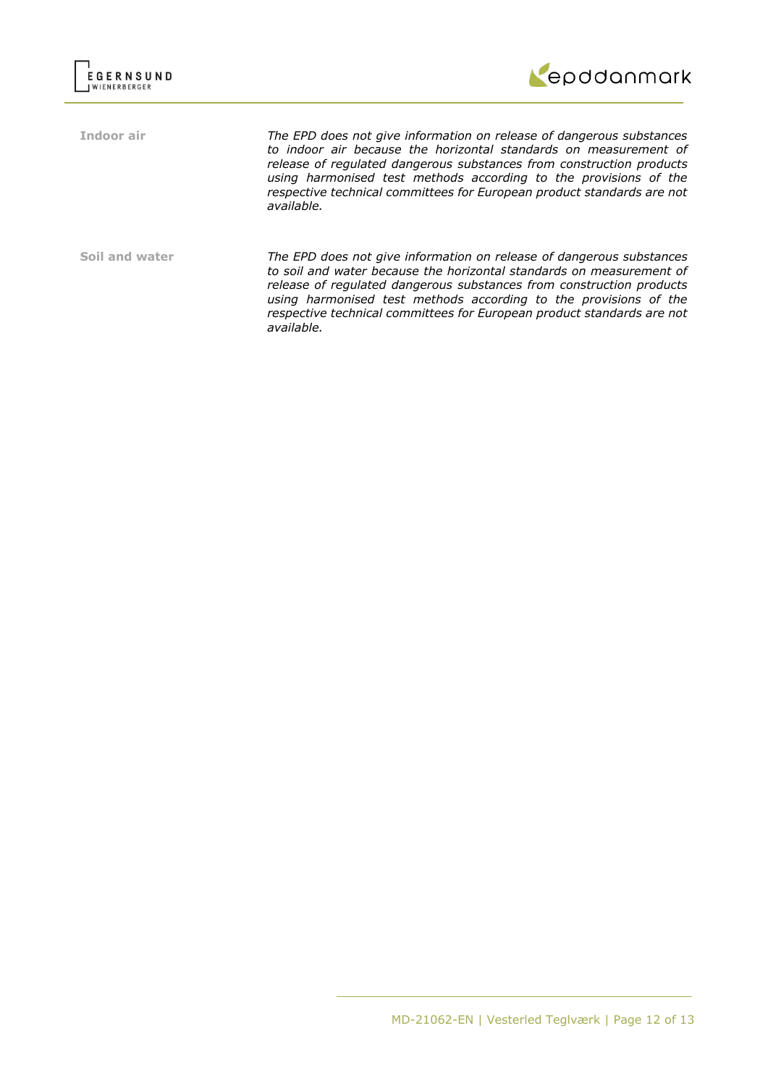

**Indoor air** *The EPD does not give information on release of dangerous substances to indoor air because the horizontal standards on measurement of release of regulated dangerous substances from construction products using harmonised test methods according to the provisions of the respective technical committees for European product standards are not available.*

**Soil and water** *The EPD does not give information on release of dangerous substances to soil and water because the horizontal standards on measurement of release of regulated dangerous substances from construction products using harmonised test methods according to the provisions of the respective technical committees for European product standards are not available.*